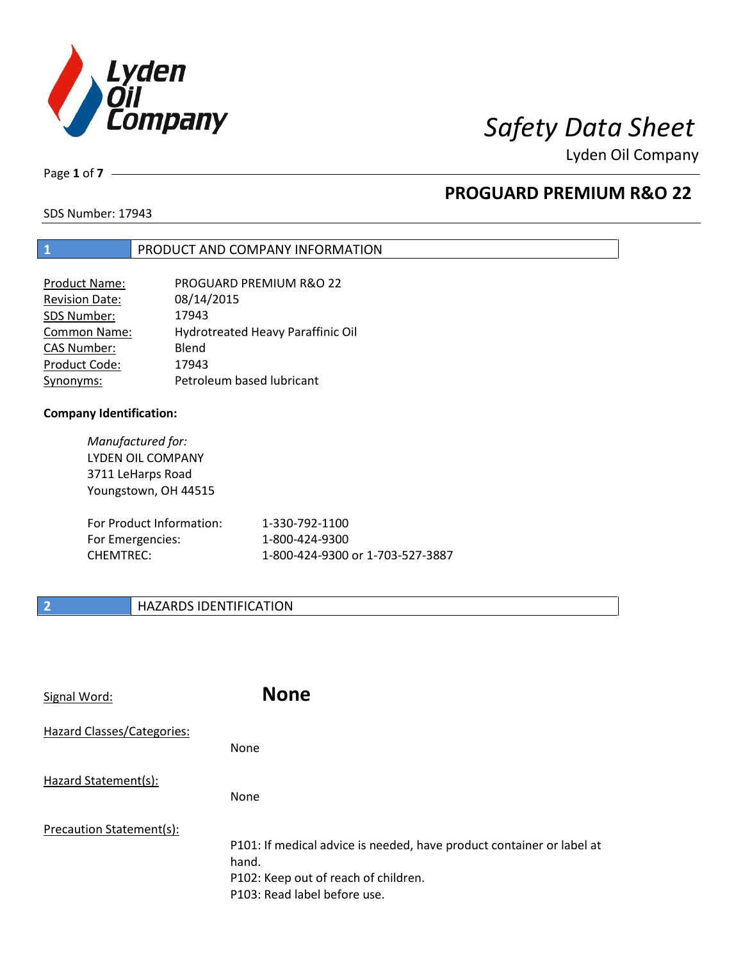

Lyden Oil Company

Page **1** of **7**

### **PROGUARD PREMIUM R&O 22**

SDS Number: 17943

#### **1** PRODUCT AND COMPANY INFORMATION

| Product Name:         | PROGUARD PREMIUM R&O 22           |
|-----------------------|-----------------------------------|
| <b>Revision Date:</b> | 08/14/2015                        |
| SDS Number:           | 17943                             |
| Common Name:          | Hydrotreated Heavy Paraffinic Oil |
| <b>CAS Number:</b>    | Blend                             |
| Product Code:         | 17943                             |
| Synonyms:             | Petroleum based lubricant         |

#### **Company Identification:**

*Manufactured for:*  LYDEN OIL COMPANY 3711 LeHarps Road Youngstown, OH 44515

| For Product Information: | 1-330-792-1100                   |
|--------------------------|----------------------------------|
| For Emergencies:         | 1-800-424-9300                   |
| CHEMTREC:                | 1-800-424-9300 or 1-703-527-3887 |

### **2 HAZARDS IDENTIFICATION**

| Signal Word:               | <b>None</b>                                                                                                                                            |
|----------------------------|--------------------------------------------------------------------------------------------------------------------------------------------------------|
| Hazard Classes/Categories: | None                                                                                                                                                   |
| Hazard Statement(s):       | <b>None</b>                                                                                                                                            |
| Precaution Statement(s):   | P101: If medical advice is needed, have product container or label at<br>hand.<br>P102: Keep out of reach of children.<br>P103: Read label before use. |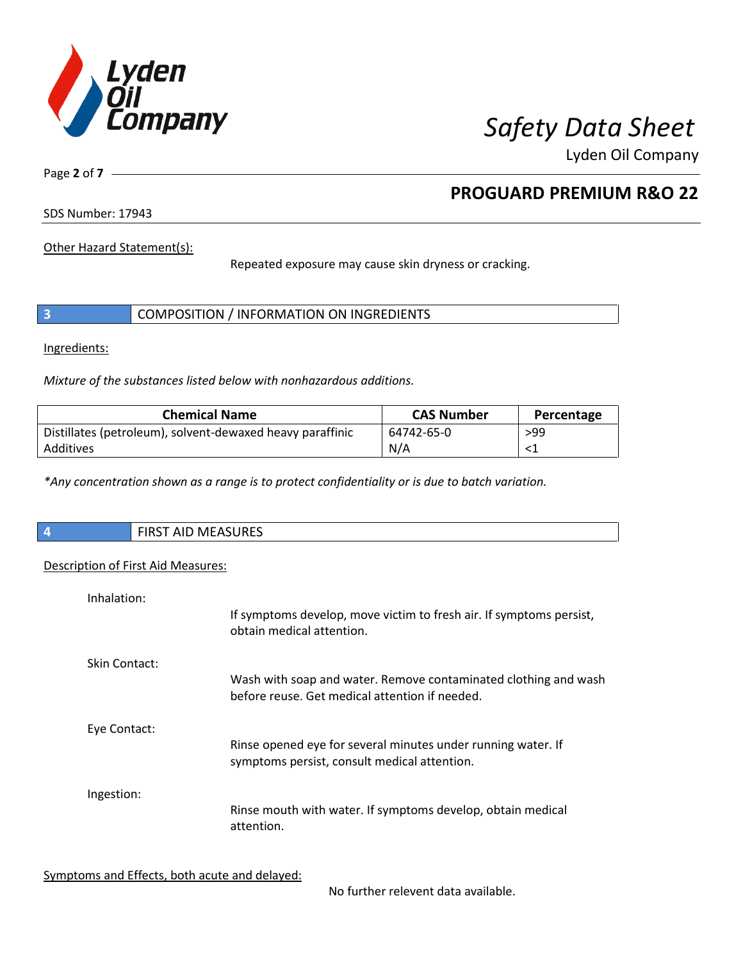

Lyden Oil Company

Page **2** of **7**

### **PROGUARD PREMIUM R&O 22**

SDS Number: 17943

Other Hazard Statement(s):

Repeated exposure may cause skin dryness or cracking.

|  | COMPOSITION / INFORMATION ON INGREDIENTS |  |
|--|------------------------------------------|--|
|--|------------------------------------------|--|

Ingredients:

*Mixture of the substances listed below with nonhazardous additions.* 

| <b>Chemical Name</b>                                      | <b>CAS Number</b> | Percentage |
|-----------------------------------------------------------|-------------------|------------|
| Distillates (petroleum), solvent-dewaxed heavy paraffinic | 64742-65-0        | >99        |
| Additives                                                 | N/A               |            |

*\*Any concentration shown as a range is to protect confidentiality or is due to batch variation.*

| $\overline{\phantom{a}}$ | <b>FIRST AID MEASURES</b> |
|--------------------------|---------------------------|
|                          |                           |

#### Description of First Aid Measures:

| Inhalation:   | If symptoms develop, move victim to fresh air. If symptoms persist,<br>obtain medical attention.                  |
|---------------|-------------------------------------------------------------------------------------------------------------------|
| Skin Contact: | Wash with soap and water. Remove contaminated clothing and wash<br>before reuse. Get medical attention if needed. |
| Eye Contact:  | Rinse opened eye for several minutes under running water. If<br>symptoms persist, consult medical attention.      |
| Ingestion:    | Rinse mouth with water. If symptoms develop, obtain medical<br>attention.                                         |

Symptoms and Effects, both acute and delayed:

No further relevent data available.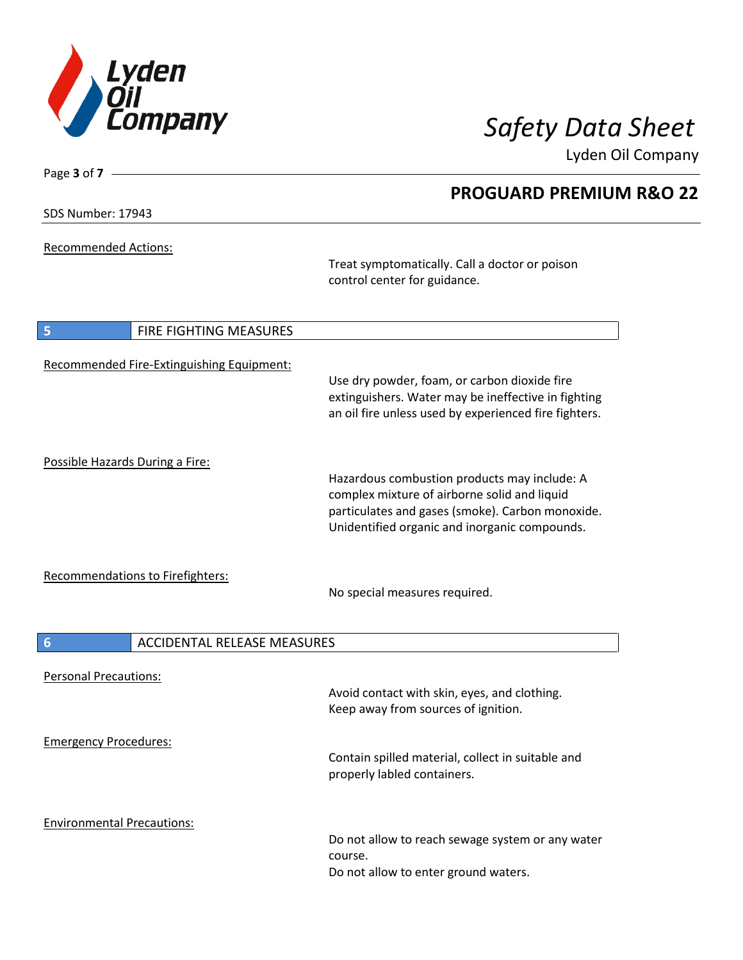

**PROGUARD PREMIUM R&O 22** 

Lyden Oil Company

SDS Number: 17943

Page **3** of **7**

Recommended Actions:

Treat symptomatically. Call a doctor or poison control center for guidance.

| 5                                         | FIRE FIGHTING MEASURES                                                                                                                                                                            |
|-------------------------------------------|---------------------------------------------------------------------------------------------------------------------------------------------------------------------------------------------------|
| Recommended Fire-Extinguishing Equipment: | Use dry powder, foam, or carbon dioxide fire<br>extinguishers. Water may be ineffective in fighting<br>an oil fire unless used by experienced fire fighters.                                      |
| Possible Hazards During a Fire:           | Hazardous combustion products may include: A<br>complex mixture of airborne solid and liquid<br>particulates and gases (smoke). Carbon monoxide.<br>Unidentified organic and inorganic compounds. |
| <b>Recommendations to Firefighters:</b>   | No special measures required.                                                                                                                                                                     |
| $6\phantom{1}6$                           | <b>ACCIDENTAL RELEASE MEASURES</b>                                                                                                                                                                |
| <b>Personal Precautions:</b>              | Avoid contact with skin, eyes, and clothing.<br>Keep away from sources of ignition.                                                                                                               |
| <b>Emergency Procedures:</b>              | Contain spilled material, collect in suitable and<br>properly labled containers.                                                                                                                  |
| <b>Environmental Precautions:</b>         | Do not allow to reach sewage system or any water<br>course.                                                                                                                                       |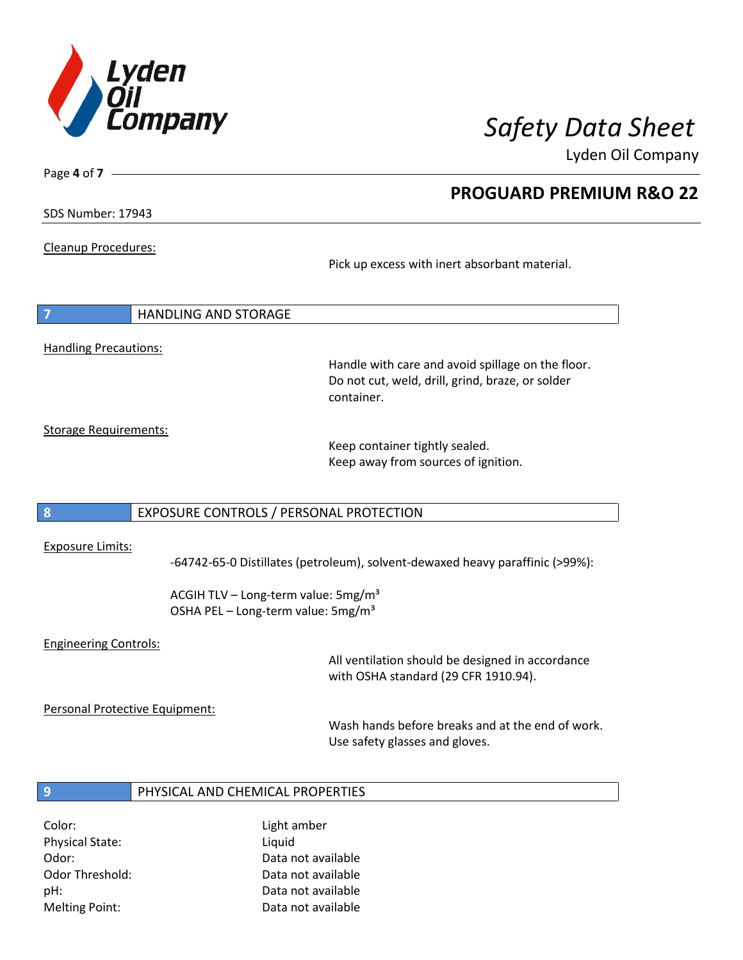

**PROGUARD PREMIUM R&O 22** 

Lyden Oil Company

SDS Number: 17943

Page **4** of **7**

#### Cleanup Procedures:

Pick up excess with inert absorbant material.

| $\overline{7}$               | <b>HANDLING AND STORAGE</b> |
|------------------------------|-----------------------------|
|                              |                             |
| <b>Handling Precautions:</b> |                             |

Handle with care and avoid spillage on the floor. Do not cut, weld, drill, grind, braze, or solder container.

Storage Requirements:

Keep container tightly sealed. Keep away from sources of ignition.

#### **8** EXPOSURE CONTROLS / PERSONAL PROTECTION

#### Exposure Limits:

-64742-65-0 Distillates (petroleum), solvent-dewaxed heavy paraffinic (>99%):

ACGIH TLV – Long-term value:  $5mg/m<sup>3</sup>$ OSHA PEL - Long-term value: 5mg/m<sup>3</sup>

#### Engineering Controls:

All ventilation should be designed in accordance with OSHA standard (29 CFR 1910.94).

Personal Protective Equipment:

Wash hands before breaks and at the end of work. Use safety glasses and gloves.

#### **9** PHYSICAL AND CHEMICAL PROPERTIES

Color: Light amber Physical State: Liquid

Odor: Data not available Odor Threshold: Data not available pH: Data not available Melting Point: Data not available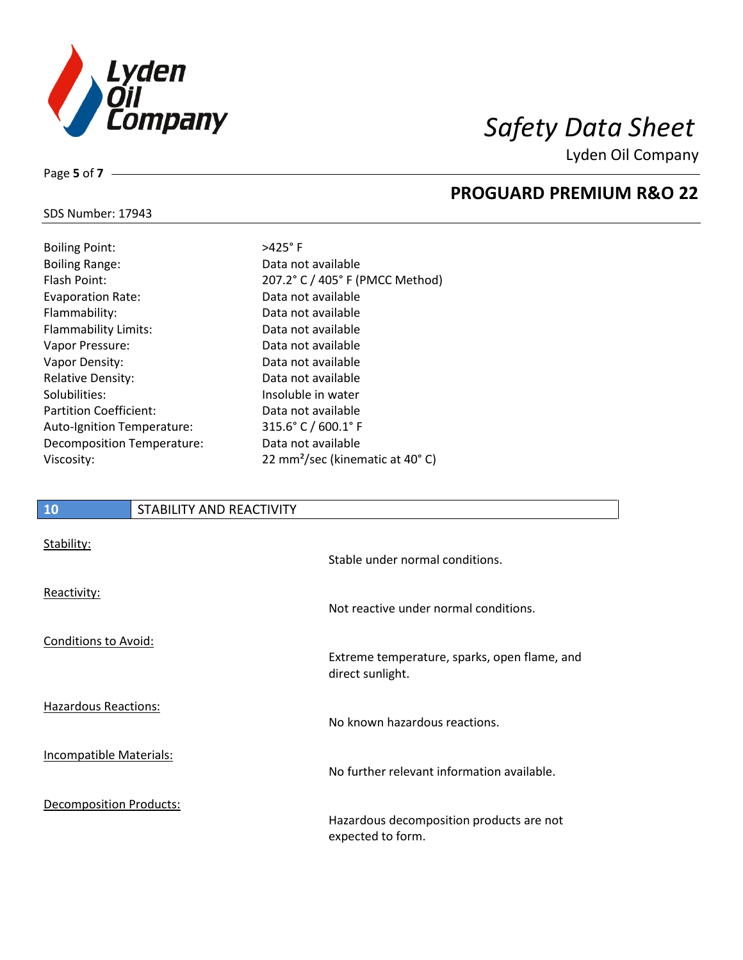

**PROGUARD PREMIUM R&O 22** 

Lyden Oil Company

#### SDS Number: 17943

Page **5** of **7**

| <b>Boiling Point:</b>         | $>425^\circ$ F      |
|-------------------------------|---------------------|
| <b>Boiling Range:</b>         | Data not            |
| Flash Point:                  | $207.2^{\circ}$ C   |
| <b>Evaporation Rate:</b>      | Data not            |
| Flammability:                 | Data not            |
| Flammability Limits:          | Data not            |
| Vapor Pressure:               | Data not            |
| Vapor Density:                | Data not            |
| <b>Relative Density:</b>      | Data not            |
| Solubilities:                 | Insoluble           |
| <b>Partition Coefficient:</b> | Data not            |
| Auto-Ignition Temperature:    | $315.6^{\circ}$ C   |
| Decomposition Temperature:    | Data not            |
| Viscosity:                    | $22 \text{ mm}^2$ / |

### available / 405° F (PMCC Method) available available available available available available e in water available  $/600.1$ ° F available 'sec (kinematic at 40°C)

### **10** STABILITY AND REACTIVITY Stability: Stable under normal conditions. Reactivity: Not reactive under normal conditions. Conditions to Avoid: Extreme temperature, sparks, open flame, and direct sunlight. Hazardous Reactions: No known hazardous reactions. Incompatible Materials: No further relevant information available. Decomposition Products: Hazardous decomposition products are not expected to form.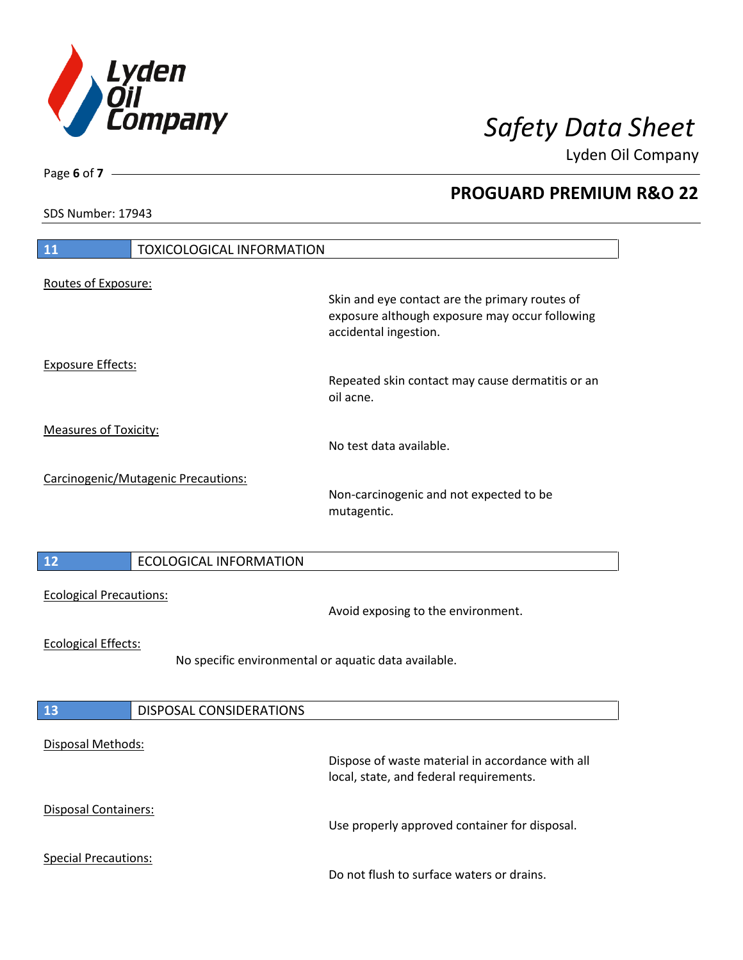

**PROGUARD PREMIUM R&O 22** 

Lyden Oil Company

SDS Number: 17943

### **11** TOXICOLOGICAL INFORMATION Routes of Exposure: Skin and eye contact are the primary routes of exposure although exposure may occur following accidental ingestion. Exposure Effects: Repeated skin contact may cause dermatitis or an oil acne. Measures of Toxicity: No test data available. Carcinogenic/Mutagenic Precautions: Non-carcinogenic and not expected to be mutagentic. **12** ECOLOGICAL INFORMATION Ecological Precautions: Avoid exposing to the environment. Ecological Effects: No specific environmental or aquatic data available. **13** DISPOSAL CONSIDERATIONS Disposal Methods: Dispose of waste material in accordance with all local, state, and federal requirements. Disposal Containers: Use properly approved container for disposal. Special Precautions: Do not flush to surface waters or drains.

Page **6** of **7**